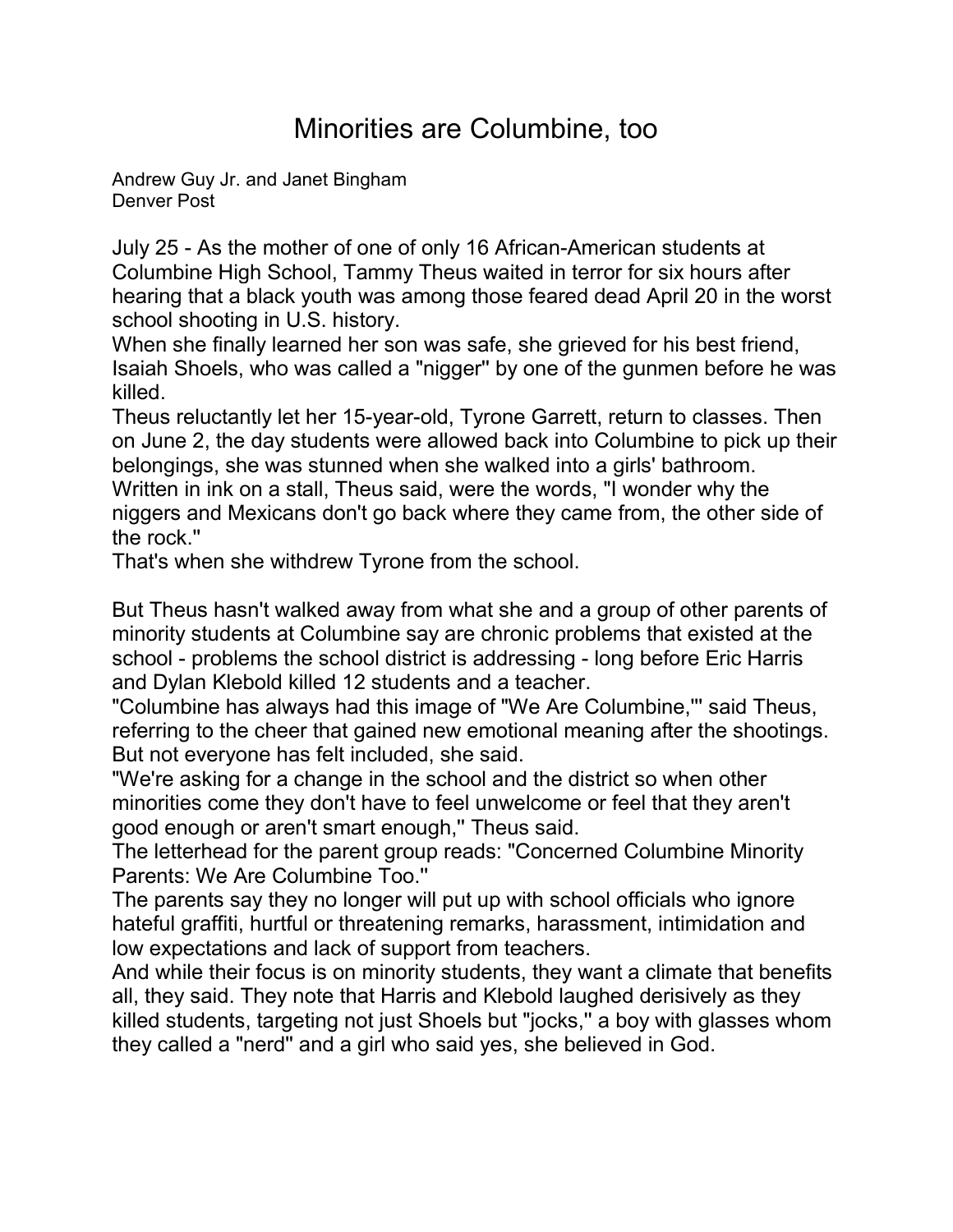## Minorities are Columbine, too

[Andrew Guy Jr. and Janet Bingham](mailto:newsroom@denverpost.com) Denver Post

July 25 - As the mother of one of only 16 African-American students at Columbine High School, Tammy Theus waited in terror for six hours after hearing that a black youth was among those feared dead April 20 in the worst school shooting in U.S. history.

When she finally learned her son was safe, she grieved for his best friend, Isaiah Shoels, who was called a "nigger'' by one of the gunmen before he was killed.

Theus reluctantly let her 15-year-old, Tyrone Garrett, return to classes. Then on June 2, the day students were allowed back into Columbine to pick up their belongings, she was stunned when she walked into a girls' bathroom. Written in ink on a stall, Theus said, were the words, "I wonder why the niggers and Mexicans don't go back where they came from, the other side of the rock.''

That's when she withdrew Tyrone from the school.

But Theus hasn't walked away from what she and a group of other parents of minority students at Columbine say are chronic problems that existed at the school - problems the school district is addressing - long before Eric Harris and Dylan Klebold killed 12 students and a teacher.

"Columbine has always had this image of "We Are Columbine,''' said Theus, referring to the cheer that gained new emotional meaning after the shootings. But not everyone has felt included, she said.

"We're asking for a change in the school and the district so when other minorities come they don't have to feel unwelcome or feel that they aren't good enough or aren't smart enough," Theus said.

The letterhead for the parent group reads: "Concerned Columbine Minority Parents: We Are Columbine Too.''

The parents say they no longer will put up with school officials who ignore hateful graffiti, hurtful or threatening remarks, harassment, intimidation and low expectations and lack of support from teachers.

And while their focus is on minority students, they want a climate that benefits all, they said. They note that Harris and Klebold laughed derisively as they killed students, targeting not just Shoels but "jocks,'' a boy with glasses whom they called a "nerd'' and a girl who said yes, she believed in God.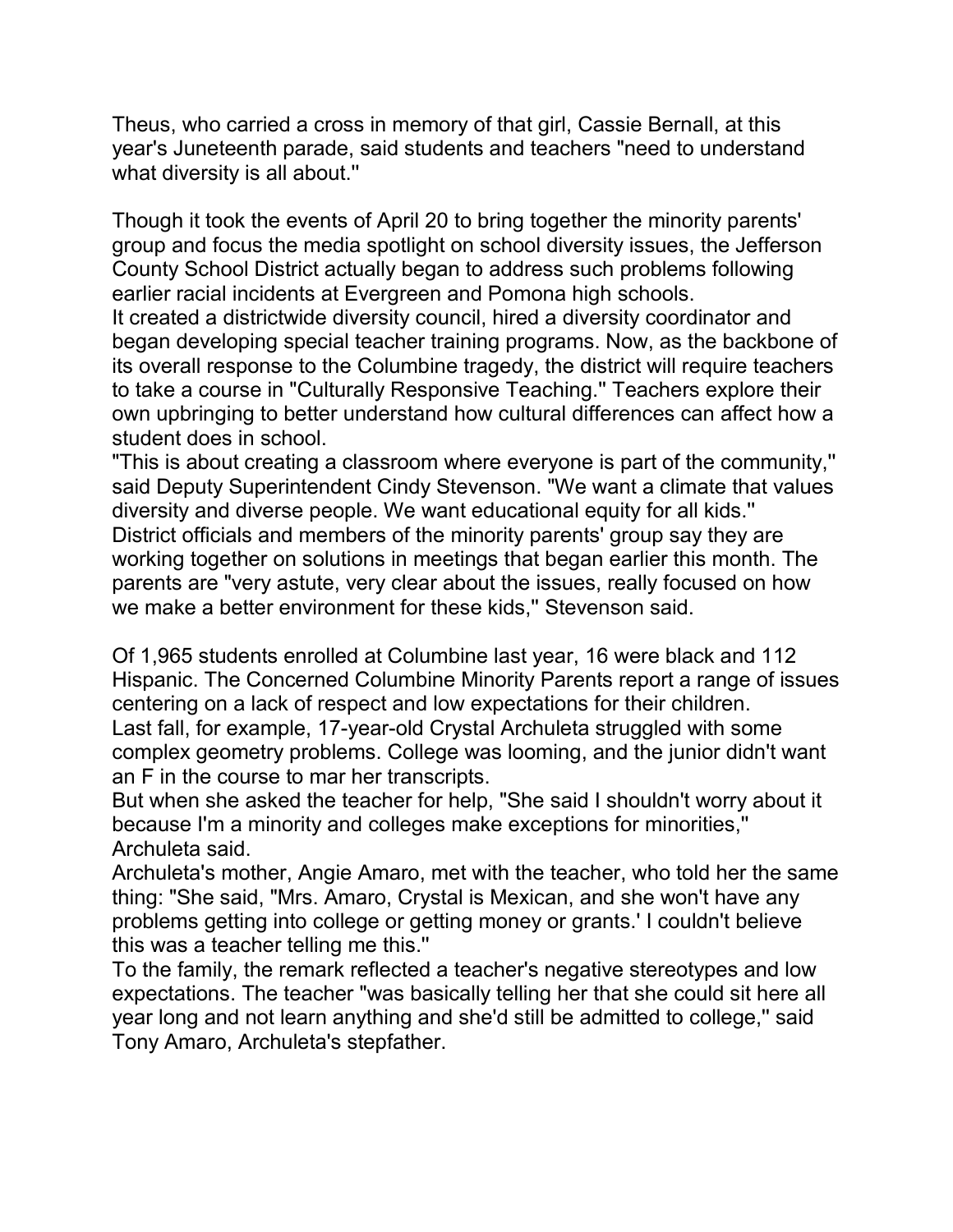Theus, who carried a cross in memory of that girl, Cassie Bernall, at this year's Juneteenth parade, said students and teachers "need to understand what diversity is all about.''

Though it took the events of April 20 to bring together the minority parents' group and focus the media spotlight on school diversity issues, the Jefferson County School District actually began to address such problems following earlier racial incidents at Evergreen and Pomona high schools.

It created a districtwide diversity council, hired a diversity coordinator and began developing special teacher training programs. Now, as the backbone of its overall response to the Columbine tragedy, the district will require teachers to take a course in "Culturally Responsive Teaching.'' Teachers explore their own upbringing to better understand how cultural differences can affect how a student does in school.

"This is about creating a classroom where everyone is part of the community,'' said Deputy Superintendent Cindy Stevenson. "We want a climate that values diversity and diverse people. We want educational equity for all kids.'' District officials and members of the minority parents' group say they are working together on solutions in meetings that began earlier this month. The parents are "very astute, very clear about the issues, really focused on how we make a better environment for these kids," Stevenson said.

Of 1,965 students enrolled at Columbine last year, 16 were black and 112 Hispanic. The Concerned Columbine Minority Parents report a range of issues centering on a lack of respect and low expectations for their children. Last fall, for example, 17-year-old Crystal Archuleta struggled with some complex geometry problems. College was looming, and the junior didn't want an F in the course to mar her transcripts.

But when she asked the teacher for help, "She said I shouldn't worry about it because I'm a minority and colleges make exceptions for minorities,'' Archuleta said.

Archuleta's mother, Angie Amaro, met with the teacher, who told her the same thing: "She said, "Mrs. Amaro, Crystal is Mexican, and she won't have any problems getting into college or getting money or grants.' I couldn't believe this was a teacher telling me this.''

To the family, the remark reflected a teacher's negative stereotypes and low expectations. The teacher "was basically telling her that she could sit here all year long and not learn anything and she'd still be admitted to college,'' said Tony Amaro, Archuleta's stepfather.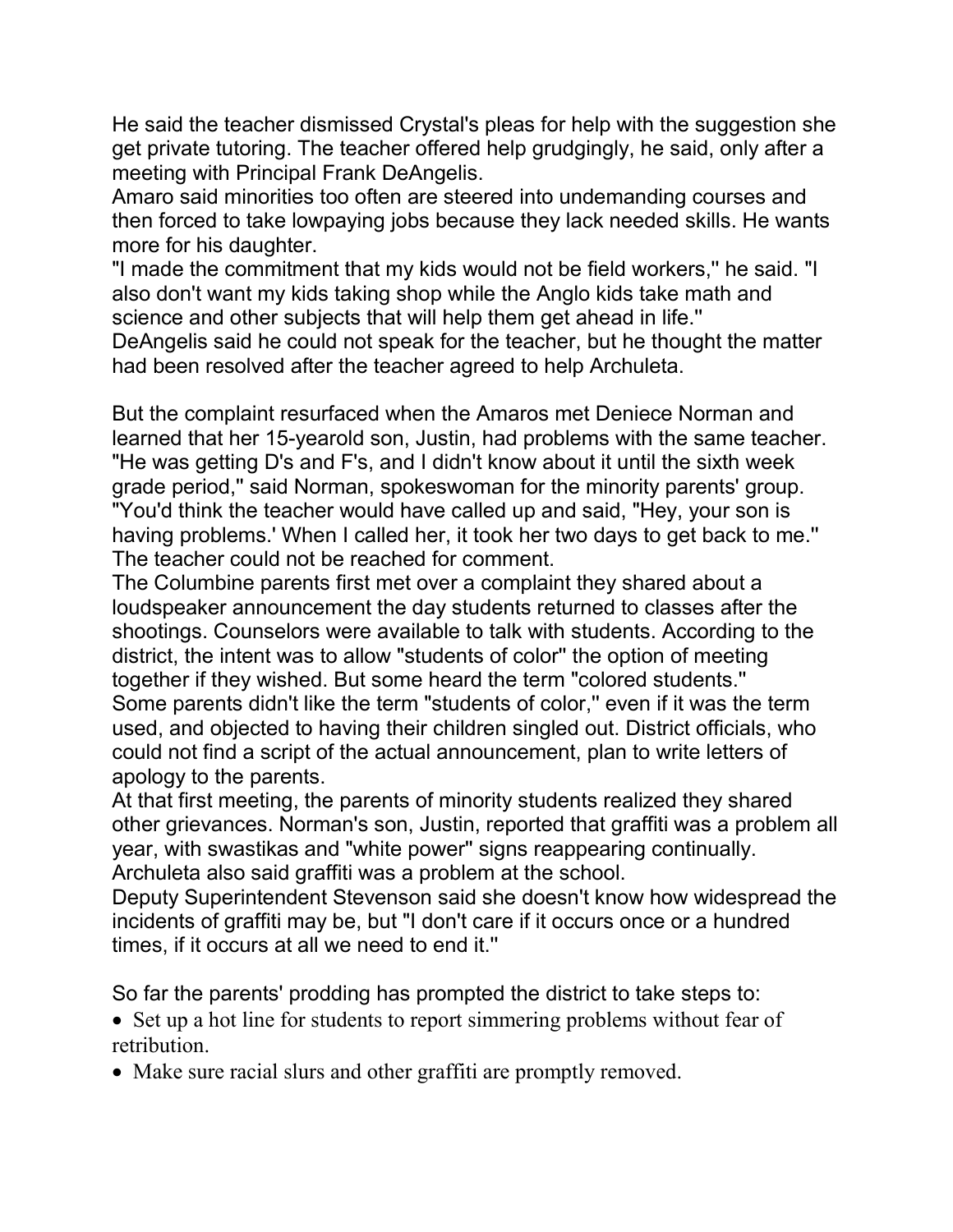He said the teacher dismissed Crystal's pleas for help with the suggestion she get private tutoring. The teacher offered help grudgingly, he said, only after a meeting with Principal Frank DeAngelis.

Amaro said minorities too often are steered into undemanding courses and then forced to take lowpaying jobs because they lack needed skills. He wants more for his daughter.

"I made the commitment that my kids would not be field workers,'' he said. "I also don't want my kids taking shop while the Anglo kids take math and science and other subjects that will help them get ahead in life.''

DeAngelis said he could not speak for the teacher, but he thought the matter had been resolved after the teacher agreed to help Archuleta.

But the complaint resurfaced when the Amaros met Deniece Norman and learned that her 15-yearold son, Justin, had problems with the same teacher. "He was getting D's and F's, and I didn't know about it until the sixth week grade period,'' said Norman, spokeswoman for the minority parents' group. "You'd think the teacher would have called up and said, "Hey, your son is having problems.' When I called her, it took her two days to get back to me.'' The teacher could not be reached for comment.

The Columbine parents first met over a complaint they shared about a loudspeaker announcement the day students returned to classes after the shootings. Counselors were available to talk with students. According to the district, the intent was to allow "students of color'' the option of meeting together if they wished. But some heard the term "colored students.'' Some parents didn't like the term "students of color,'' even if it was the term used, and objected to having their children singled out. District officials, who could not find a script of the actual announcement, plan to write letters of apology to the parents.

At that first meeting, the parents of minority students realized they shared other grievances. Norman's son, Justin, reported that graffiti was a problem all year, with swastikas and "white power'' signs reappearing continually. Archuleta also said graffiti was a problem at the school.

Deputy Superintendent Stevenson said she doesn't know how widespread the incidents of graffiti may be, but "I don't care if it occurs once or a hundred times, if it occurs at all we need to end it.''

So far the parents' prodding has prompted the district to take steps to:

• Set up a hot line for students to report simmering problems without fear of retribution.

• Make sure racial slurs and other graffiti are promptly removed.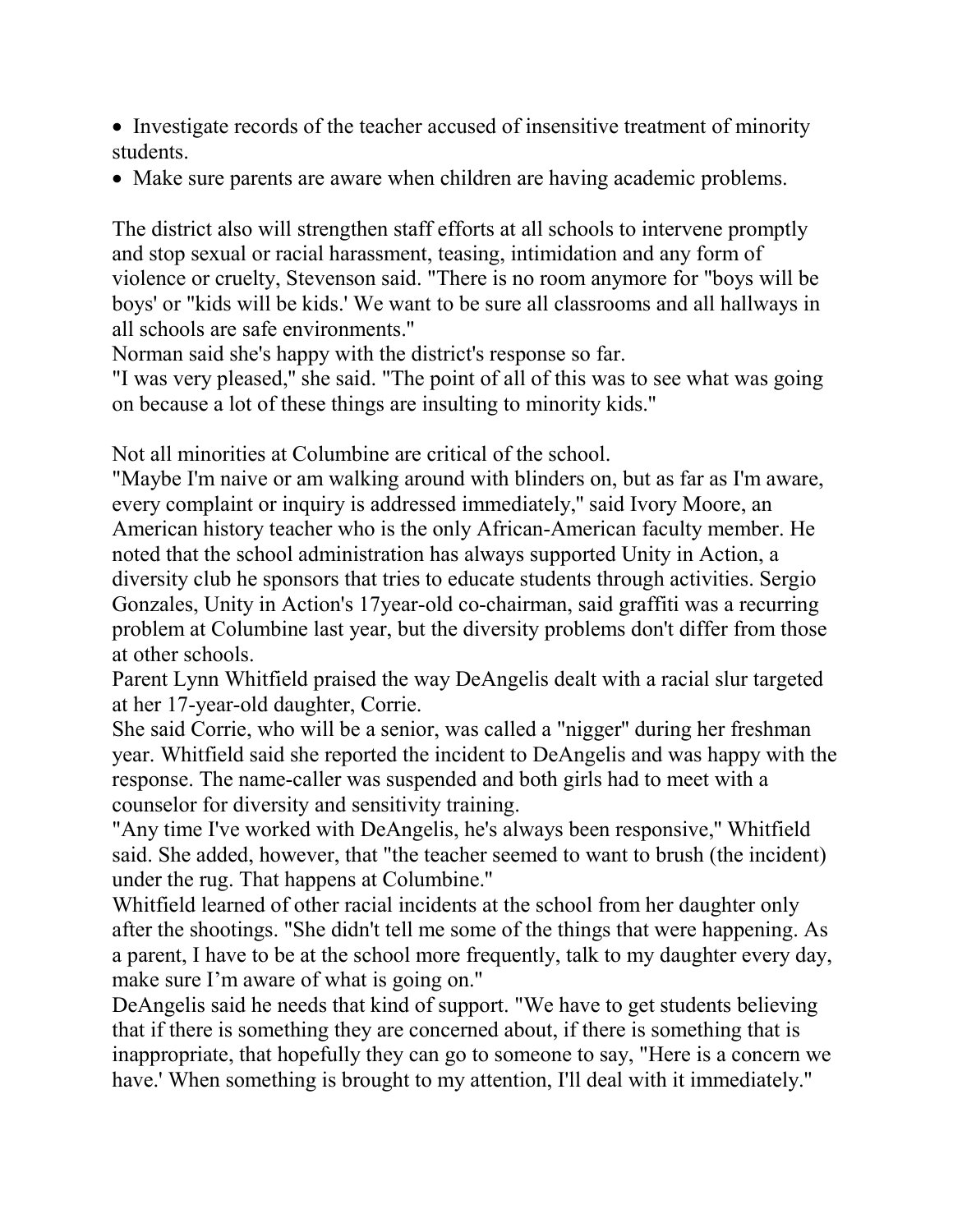- Investigate records of the teacher accused of insensitive treatment of minority students.
- Make sure parents are aware when children are having academic problems.

The district also will strengthen staff efforts at all schools to intervene promptly and stop sexual or racial harassment, teasing, intimidation and any form of violence or cruelty, Stevenson said. "There is no room anymore for "boys will be boys' or "kids will be kids.' We want to be sure all classrooms and all hallways in all schools are safe environments.''

Norman said she's happy with the district's response so far.

"I was very pleased,'' she said. "The point of all of this was to see what was going on because a lot of these things are insulting to minority kids.''

Not all minorities at Columbine are critical of the school.

"Maybe I'm naive or am walking around with blinders on, but as far as I'm aware, every complaint or inquiry is addressed immediately,'' said Ivory Moore, an American history teacher who is the only African-American faculty member. He noted that the school administration has always supported Unity in Action, a diversity club he sponsors that tries to educate students through activities. Sergio Gonzales, Unity in Action's 17year-old co-chairman, said graffiti was a recurring problem at Columbine last year, but the diversity problems don't differ from those at other schools.

Parent Lynn Whitfield praised the way DeAngelis dealt with a racial slur targeted at her 17-year-old daughter, Corrie.

She said Corrie, who will be a senior, was called a "nigger'' during her freshman year. Whitfield said she reported the incident to DeAngelis and was happy with the response. The name-caller was suspended and both girls had to meet with a counselor for diversity and sensitivity training.

"Any time I've worked with DeAngelis, he's always been responsive,'' Whitfield said. She added, however, that "the teacher seemed to want to brush (the incident) under the rug. That happens at Columbine.''

Whitfield learned of other racial incidents at the school from her daughter only after the shootings. "She didn't tell me some of the things that were happening. As a parent, I have to be at the school more frequently, talk to my daughter every day, make sure I'm aware of what is going on.''

DeAngelis said he needs that kind of support. "We have to get students believing that if there is something they are concerned about, if there is something that is inappropriate, that hopefully they can go to someone to say, "Here is a concern we have.' When something is brought to my attention, I'll deal with it immediately."